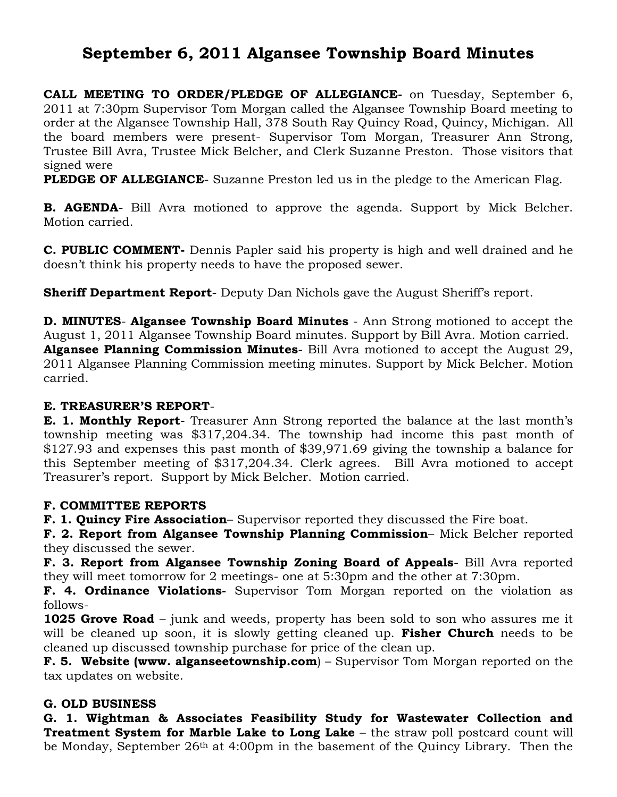# **September 6, 2011 Algansee Township Board Minutes**

**CALL MEETING TO ORDER/PLEDGE OF ALLEGIANCE-** on Tuesday, September 6, 2011 at 7:30pm Supervisor Tom Morgan called the Algansee Township Board meeting to order at the Algansee Township Hall, 378 South Ray Quincy Road, Quincy, Michigan. All the board members were present- Supervisor Tom Morgan, Treasurer Ann Strong, Trustee Bill Avra, Trustee Mick Belcher, and Clerk Suzanne Preston. Those visitors that signed were

**PLEDGE OF ALLEGIANCE**- Suzanne Preston led us in the pledge to the American Flag.

**B. AGENDA**- Bill Avra motioned to approve the agenda. Support by Mick Belcher. Motion carried.

**C. PUBLIC COMMENT-** Dennis Papler said his property is high and well drained and he doesn't think his property needs to have the proposed sewer.

**Sheriff Department Report**- Deputy Dan Nichols gave the August Sheriff's report.

**D. MINUTES**- **Algansee Township Board Minutes** - Ann Strong motioned to accept the August 1, 2011 Algansee Township Board minutes. Support by Bill Avra. Motion carried. **Algansee Planning Commission Minutes**- Bill Avra motioned to accept the August 29, 2011 Algansee Planning Commission meeting minutes. Support by Mick Belcher. Motion carried.

#### **E. TREASURER'S REPORT**-

**E. 1. Monthly Report**- Treasurer Ann Strong reported the balance at the last month's township meeting was \$317,204.34. The township had income this past month of \$127.93 and expenses this past month of \$39,971.69 giving the township a balance for this September meeting of \$317,204.34. Clerk agrees. Bill Avra motioned to accept Treasurer's report. Support by Mick Belcher. Motion carried.

#### **F. COMMITTEE REPORTS**

**F. 1. Quincy Fire Association**– Supervisor reported they discussed the Fire boat.

**F. 2. Report from Algansee Township Planning Commission**– Mick Belcher reported they discussed the sewer.

**F. 3. Report from Algansee Township Zoning Board of Appeals**- Bill Avra reported they will meet tomorrow for 2 meetings- one at 5:30pm and the other at 7:30pm.

**F. 4. Ordinance Violations-** Supervisor Tom Morgan reported on the violation as follows-

**1025 Grove Road** – junk and weeds, property has been sold to son who assures me it will be cleaned up soon, it is slowly getting cleaned up. **Fisher Church** needs to be cleaned up discussed township purchase for price of the clean up.

**F. 5. Website (www. alganseetownship.com**) – Supervisor Tom Morgan reported on the tax updates on website.

#### **G. OLD BUSINESS**

**G. 1. Wightman & Associates Feasibility Study for Wastewater Collection and Treatment System for Marble Lake to Long Lake** – the straw poll postcard count will be Monday, September 26th at 4:00pm in the basement of the Quincy Library. Then the